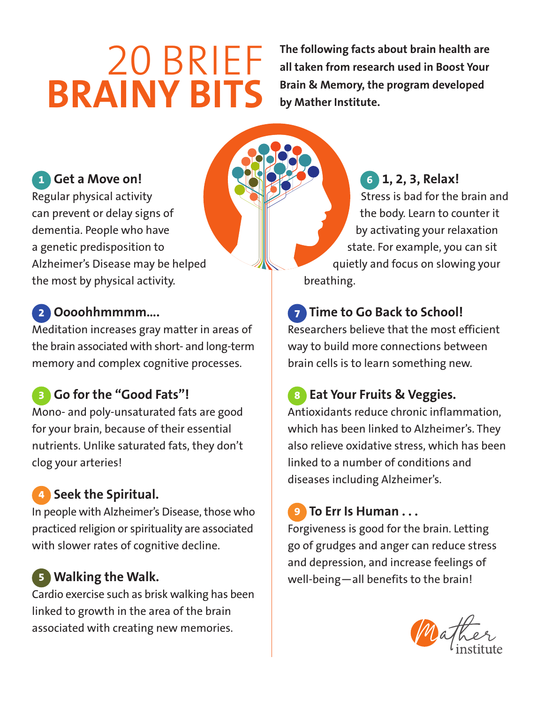# 20 BRIEF **BRAINY BITS**

**The following facts about brain health are all taken from research used in Boost Your Brain & Memory, the program developed by Mather Institute.**

## **Get a Move on! 1**

Regular physical activity can prevent or delay signs of dementia. People who have a genetic predisposition to Alzheimer's Disease may be helped the most by physical activity.

#### **Oooohhmmmm…. 2**

Meditation increases gray matter in areas of the brain associated with short- and long-term memory and complex cognitive processes.

## **Go for the "Good Fats"! 3**

Mono- and poly-unsaturated fats are good for your brain, because of their essential nutrients. Unlike saturated fats, they don't clog your arteries!

## **Seek the Spiritual. 4**

In people with Alzheimer's Disease, those who practiced religion or spirituality are associated with slower rates of cognitive decline.

## **Walking the Walk. 5**

Cardio exercise such as brisk walking has been linked to growth in the area of the brain associated with creating new memories.

### **1, 2, 3, Relax! 6**

Stress is bad for the brain and the body. Learn to counter it by activating your relaxation state. For example, you can sit quietly and focus on slowing your breathing.

## **Time to Go Back to School! 7**

Researchers believe that the most efficient way to build more connections between brain cells is to learn something new.

## **Eat Your Fruits & Veggies. 8**

Antioxidants reduce chronic inflammation, which has been linked to Alzheimer's. They also relieve oxidative stress, which has been linked to a number of conditions and diseases including Alzheimer's.

## **To Err Is Human . . . 9**

Forgiveness is good for the brain. Letting go of grudges and anger can reduce stress and depression, and increase feelings of well-being—all benefits to the brain!